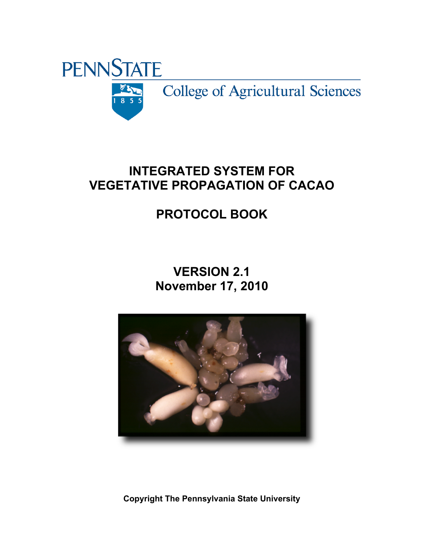

## **INTEGRATED SYSTEM FOR VEGETATIVE PROPAGATION OF CACAO**

# **PROTOCOL BOOK**

## **VERSION 2.1 November 17, 2010**



**Copyright The Pennsylvania State University**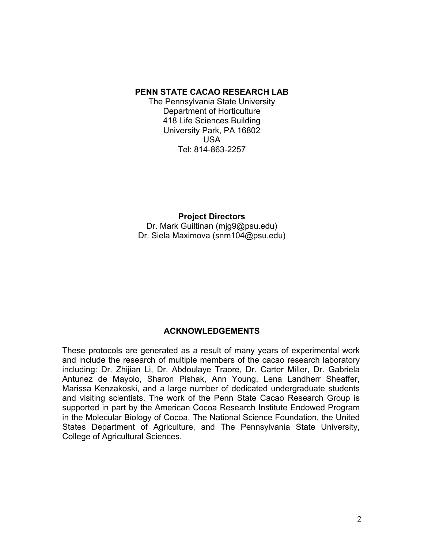#### **PENN STATE CACAO RESEARCH LAB**

The Pennsylvania State University Department of Horticulture 418 Life Sciences Building University Park, PA 16802 USA Tel: 814-863-2257

**Project Directors**  Dr. Mark Guiltinan (mjg9@psu.edu) Dr. Siela Maximova (snm104@psu.edu)

#### **ACKNOWLEDGEMENTS**

These protocols are generated as a result of many years of experimental work and include the research of multiple members of the cacao research laboratory including: Dr. Zhijian Li, Dr. Abdoulaye Traore, Dr. Carter Miller, Dr. Gabriela Antunez de Mayolo, Sharon Pishak, Ann Young, Lena Landherr Sheaffer, Marissa Kenzakoski, and a large number of dedicated undergraduate students and visiting scientists. The work of the Penn State Cacao Research Group is supported in part by the American Cocoa Research Institute Endowed Program in the Molecular Biology of Cocoa, The National Science Foundation, the United States Department of Agriculture, and The Pennsylvania State University, College of Agricultural Sciences.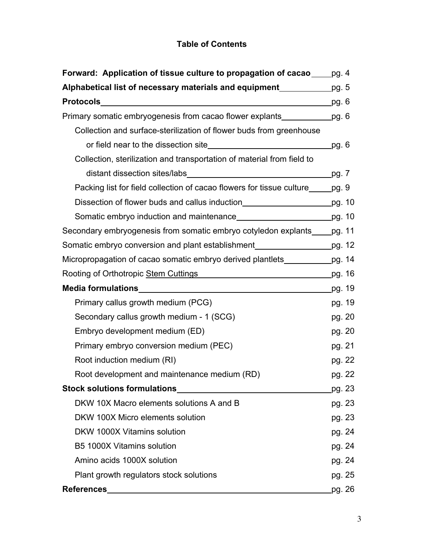## **Table of Contents**

| Forward: Application of tissue culture to propagation of cacao _____ pg. 4                                                |        |  |
|---------------------------------------------------------------------------------------------------------------------------|--------|--|
| Alphabetical list of necessary materials and equipment_____________pg. 5                                                  |        |  |
|                                                                                                                           | pg. 6  |  |
| Primary somatic embryogenesis from cacao flower explants_______________pg. 6                                              |        |  |
| Collection and surface-sterilization of flower buds from greenhouse                                                       |        |  |
|                                                                                                                           | pg. 6  |  |
| Collection, sterilization and transportation of material from field to                                                    |        |  |
|                                                                                                                           | pg. 7  |  |
| Packing list for field collection of cacao flowers for tissue culture <u>same</u> , 9                                     |        |  |
|                                                                                                                           |        |  |
|                                                                                                                           |        |  |
| Secondary embryogenesis from somatic embryo cotyledon explants                                                            | pg. 11 |  |
| Somatic embryo conversion and plant establishment________________________pg. 12                                           |        |  |
| Micropropagation of cacao somatic embryo derived plantlets                                                                | pg. 14 |  |
| Rooting of Orthotropic Stem Cuttings <b>Example 20</b> Noting 1 and 20 Noting 1 and 20 Noting 1 and 20 Noting 20 Noting 2 | pg. 16 |  |
|                                                                                                                           | pg. 19 |  |
| Primary callus growth medium (PCG)                                                                                        | pg. 19 |  |
| Secondary callus growth medium - 1 (SCG)                                                                                  | pg. 20 |  |
| Embryo development medium (ED)                                                                                            | pg. 20 |  |
| Primary embryo conversion medium (PEC)                                                                                    | pg. 21 |  |
| Root induction medium (RI)                                                                                                | pg. 22 |  |
| Root development and maintenance medium (RD)                                                                              | pg. 22 |  |
| <b>Stock solutions formulations</b>                                                                                       | pg. 23 |  |
| DKW 10X Macro elements solutions A and B                                                                                  | pg. 23 |  |
| DKW 100X Micro elements solution                                                                                          | pg. 23 |  |
| DKW 1000X Vitamins solution                                                                                               | pg. 24 |  |
| <b>B5 1000X Vitamins solution</b>                                                                                         | pg. 24 |  |
| Amino acids 1000X solution                                                                                                | pg. 24 |  |
| Plant growth regulators stock solutions                                                                                   | pg. 25 |  |
| <b>References</b>                                                                                                         | pg. 26 |  |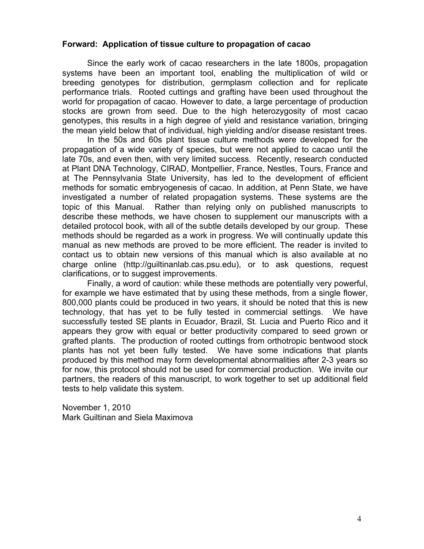#### **Forward: Application of tissue culture to propagation of cacao**

Since the early work of cacao researchers in the late 1800s, propagation systems have been an important tool, enabling the multiplication of wild or breeding genotypes for distribution, germplasm collection and for replicate performance trials. Rooted cuttings and grafting have been used throughout the world for propagation of cacao. However to date, a large percentage of production stocks are grown from seed. Due to the high heterozygosity of most cacao genotypes, this results in a high degree of yield and resistance variation, bringing the mean yield below that of individual, high yielding and/or disease resistant trees.

In the 50s and 60s plant tissue culture methods were developed for the propagation of a wide variety of species, but were not applied to cacao until the late 70s, and even then, with very limited success. Recently, research conducted at Plant DNA Technology, CIRAD, Montpellier, France, Nestles, Tours, France and at The Pennsylvania State University, has led to the development of efficient methods for somatic embryogenesis of cacao. In addition, at Penn State, we have investigated a number of related propagation systems. These systems are the topic of this Manual. Rather than relying only on published manuscripts to describe these methods, we have chosen to supplement our manuscripts with a detailed protocol book, with all of the subtle details developed by our group. These methods should be regarded as a work in progress. We will continually update this manual as new methods are proved to be more efficient. The reader is invited to contact us to obtain new versions of this manual which is also available at no charge online (http://guiltinanlab.cas.psu.edu), or to ask questions, request clarifications, or to suggest improvements.

Finally, a word of caution: while these methods are potentially very powerful, for example we have estimated that by using these methods, from a single flower, 800,000 plants could be produced in two years, it should be noted that this is new technology, that has yet to be fully tested in commercial settings. We have successfully tested SE plants in Ecuador, Brazil, St. Lucia and Puerto Rico and it appears they grow with equal or better productivity compared to seed grown or grafted plants. The production of rooted cuttings from orthotropic bentwood stock plants has not yet been fully tested. We have some indications that plants produced by this method may form developmental abnormalities after 2-3 years so for now, this protocol should not be used for commercial production. We invite our partners, the readers of this manuscript, to work together to set up additional field tests to help validate this system.

November 1, 2010 Mark Guiltinan and Siela Maximova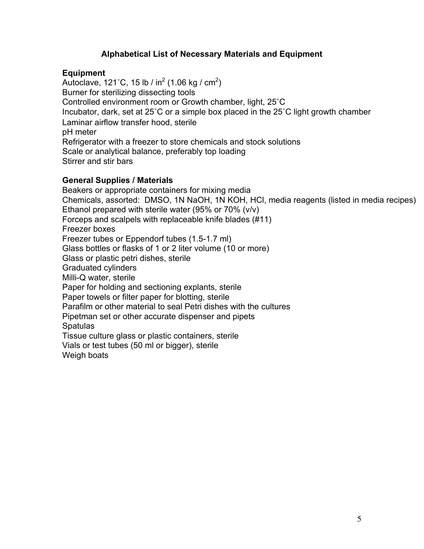#### **Alphabetical List of Necessary Materials and Equipment**

#### **Equipment**

Autoclave, 121˚C, 15 lb / in $^2$  (1.06 kg / cm $^2$ ) Burner for sterilizing dissecting tools Controlled environment room or Growth chamber, light, 25˚C Incubator, dark, set at 25˚C or a simple box placed in the 25˚C light growth chamber pH meter Laminar airflow transfer hood, sterile Refrigerator with a freezer to store chemicals and stock solutions Scale or analytical balance, preferably top loading Stirrer and stir bars

#### **General Supplies / Materials**

Beakers or appropriate containers for mixing media Chemicals, assorted: DMSO, 1N NaOH, 1N KOH, HCl, media reagents (listed in media recipes) Ethanol prepared with sterile water (95% or 70% (v/v) Forceps and scalpels with replaceable knife blades (#11) Freezer boxes Freezer tubes or Eppendorf tubes (1.5-1.7 ml) Glass bottles or flasks of 1 or 2 liter volume (10 or more) Glass or plastic petri dishes, sterile Graduated cylinders Milli-Q water, sterile Paper for holding and sectioning explants, sterile Paper towels or filter paper for blotting, sterile Parafilm or other material to seal Petri dishes with the cultures Pipetman set or other accurate dispenser and pipets Spatulas Tissue culture glass or plastic containers, sterile Vials or test tubes (50 ml or bigger), sterile Weigh boats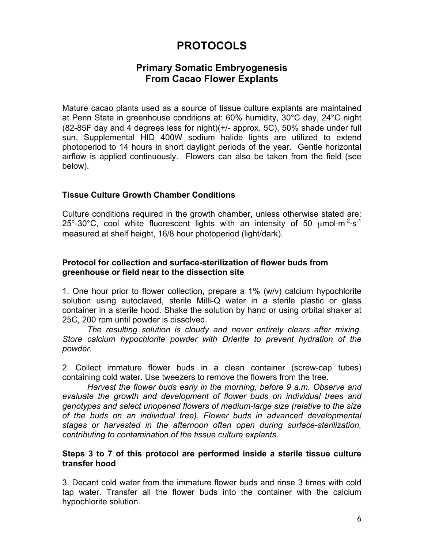## **PROTOCOLS**

## **Primary Somatic Embryogenesis From Cacao Flower Explants**

Mature cacao plants used as a source of tissue culture explants are maintained at Penn State in greenhouse conditions at: 60% humidity, 30°C day, 24°C night (82-85F day and 4 degrees less for night)(+/- approx. 5C), 50% shade under full sun. Supplemental HID 400W sodium halide lights are utilized to extend photoperiod to 14 hours in short daylight periods of the year. Gentle horizontal airflow is applied continuously. Flowers can also be taken from the field (see below).

#### **Tissue Culture Growth Chamber Conditions**

Culture conditions required in the growth chamber, unless otherwise stated are: 25°-30°C, cool white fluorescent lights with an intensity of 50  $\mu$ mol·m<sup>-2</sup>·s<sup>-1</sup> measured at shelf height, 16/8 hour photoperiod (light/dark).

#### **Protocol for collection and surface-sterilization of flower buds from greenhouse or field near to the dissection site**

1. One hour prior to flower collection, prepare a 1% (w/v) calcium hypochlorite solution using autoclaved, sterile Milli-Q water in a sterile plastic or glass container in a sterile hood. Shake the solution by hand or using orbital shaker at 25C, 200 rpm until powder is dissolved.

*The resulting solution is cloudy and never entirely clears after mixing. Store calcium hypochlorite powder with Drierite to prevent hydration of the powder.*

2. Collect immature flower buds in a clean container (screw-cap tubes) containing cold water. Use tweezers to remove the flowers from the tree.

*Harvest the flower buds early in the morning, before 9 a.m. Observe and evaluate the growth and development of flower buds on individual trees and genotypes and select unopened flowers of medium-large size (relative to the size of the buds on an individual tree). Flower buds in advanced developmental stages or harvested in the afternoon often open during surface-sterilization, contributing to contamination of the tissue culture explants.* 

#### **Steps 3 to 7 of this protocol are performed inside a sterile tissue culture transfer hood**

3. Decant cold water from the immature flower buds and rinse 3 times with cold tap water. Transfer all the flower buds into the container with the calcium hypochlorite solution.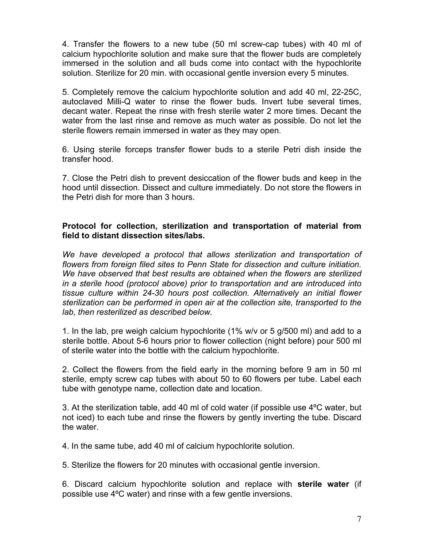4. Transfer the flowers to a new tube (50 ml screw-cap tubes) with 40 ml of calcium hypochlorite solution and make sure that the flower buds are completely immersed in the solution and all buds come into contact with the hypochlorite solution. Sterilize for 20 min. with occasional gentle inversion every 5 minutes.

5. Completely remove the calcium hypochlorite solution and add 40 ml, 22-25C, autoclaved Milli-Q water to rinse the flower buds. Invert tube several times, decant water. Repeat the rinse with fresh sterile water 2 more times. Decant the water from the last rinse and remove as much water as possible. Do not let the sterile flowers remain immersed in water as they may open.

6. Using sterile forceps transfer flower buds to a sterile Petri dish inside the transfer hood.

7. Close the Petri dish to prevent desiccation of the flower buds and keep in the hood until dissection. Dissect and culture immediately. Do not store the flowers in the Petri dish for more than 3 hours.

#### **Protocol for collection, sterilization and transportation of material from field to distant dissection sites/labs.**

*We have developed a protocol that allows sterilization and transportation of flowers from foreign filed sites to Penn State for dissection and culture initiation. We have observed that best results are obtained when the flowers are sterilized in a sterile hood (protocol above) prior to transportation and are introduced into tissue culture within 24-30 hours post collection. Alternatively an initial flower sterilization can be performed in open air at the collection site, transported to the lab, then resterilized as described below.*

1. In the lab, pre weigh calcium hypochlorite (1% w/v or 5 g/500 ml) and add to a sterile bottle. About 5-6 hours prior to flower collection (night before) pour 500 ml of sterile water into the bottle with the calcium hypochlorite.

2. Collect the flowers from the field early in the morning before 9 am in 50 ml sterile, empty screw cap tubes with about 50 to 60 flowers per tube. Label each tube with genotype name, collection date and location.

3. At the sterilization table, add 40 ml of cold water (if possible use 4ºC water, but not iced) to each tube and rinse the flowers by gently inverting the tube. Discard the water.

4. In the same tube, add 40 ml of calcium hypochlorite solution.

5. Sterilize the flowers for 20 minutes with occasional gentle inversion.

6. Discard calcium hypochlorite solution and replace with **sterile water** (if possible use 4ºC water) and rinse with a few gentle inversions.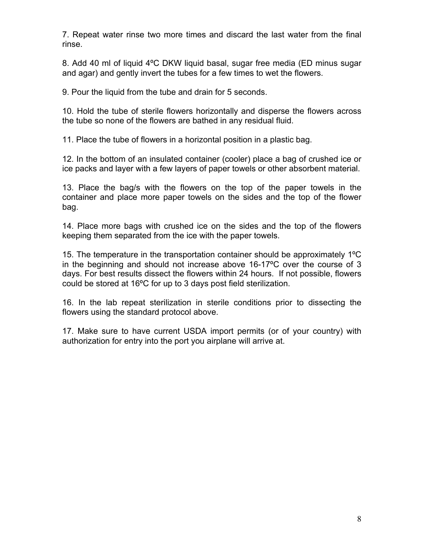7. Repeat water rinse two more times and discard the last water from the final rinse.

8. Add 40 ml of liquid 4ºC DKW liquid basal, sugar free media (ED minus sugar and agar) and gently invert the tubes for a few times to wet the flowers.

9. Pour the liquid from the tube and drain for 5 seconds.

10. Hold the tube of sterile flowers horizontally and disperse the flowers across the tube so none of the flowers are bathed in any residual fluid.

11. Place the tube of flowers in a horizontal position in a plastic bag.

12. In the bottom of an insulated container (cooler) place a bag of crushed ice or ice packs and layer with a few layers of paper towels or other absorbent material.

13. Place the bag/s with the flowers on the top of the paper towels in the container and place more paper towels on the sides and the top of the flower bag.

14. Place more bags with crushed ice on the sides and the top of the flowers keeping them separated from the ice with the paper towels.

15. The temperature in the transportation container should be approximately 1ºC in the beginning and should not increase above 16-17ºC over the course of 3 days. For best results dissect the flowers within 24 hours. If not possible, flowers could be stored at 16ºC for up to 3 days post field sterilization.

16. In the lab repeat sterilization in sterile conditions prior to dissecting the flowers using the standard protocol above.

17. Make sure to have current USDA import permits (or of your country) with authorization for entry into the port you airplane will arrive at.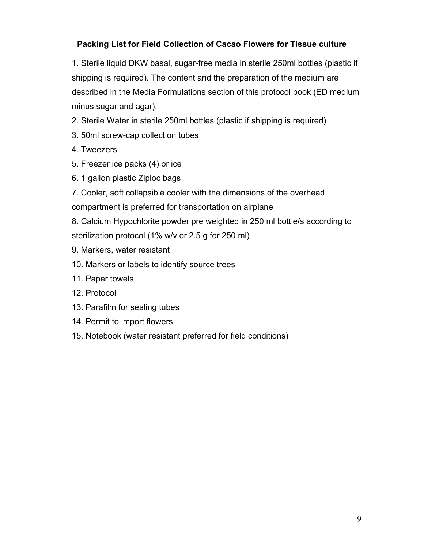## **Packing List for Field Collection of Cacao Flowers for Tissue culture**

1. Sterile liquid DKW basal, sugar-free media in sterile 250ml bottles (plastic if shipping is required). The content and the preparation of the medium are described in the Media Formulations section of this protocol book (ED medium minus sugar and agar).

- 2. Sterile Water in sterile 250ml bottles (plastic if shipping is required)
- 3. 50ml screw-cap collection tubes
- 4. Tweezers
- 5. Freezer ice packs (4) or ice
- 6. 1 gallon plastic Ziploc bags
- 7. Cooler, soft collapsible cooler with the dimensions of the overhead
- compartment is preferred for transportation on airplane
- 8. Calcium Hypochlorite powder pre weighted in 250 ml bottle/s according to sterilization protocol (1% w/v or 2.5 g for 250 ml)
- 9. Markers, water resistant
- 10. Markers or labels to identify source trees
- 11. Paper towels
- 12. Protocol
- 13. Parafilm for sealing tubes
- 14. Permit to import flowers
- 15. Notebook (water resistant preferred for field conditions)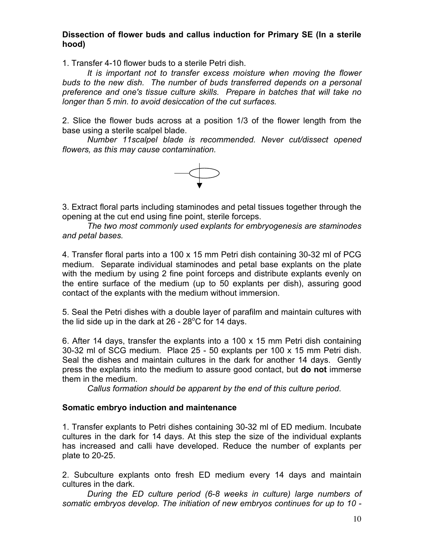#### **Dissection of flower buds and callus induction for Primary SE (In a sterile hood)**

1. Transfer 4-10 flower buds to a sterile Petri dish.

*It is important not to transfer excess moisture when moving the flower buds to the new dish. The number of buds transferred depends on a personal preference and one's tissue culture skills. Prepare in batches that will take no longer than 5 min. to avoid desiccation of the cut surfaces.* 

2. Slice the flower buds across at a position 1/3 of the flower length from the base using a sterile scalpel blade.

*Number 11scalpel blade is recommended. Never cut/dissect opened flowers, as this may cause contamination.*



3. Extract floral parts including staminodes and petal tissues together through the opening at the cut end using fine point, sterile forceps.

*The two most commonly used explants for embryogenesis are staminodes and petal bases.*

4. Transfer floral parts into a 100 x 15 mm Petri dish containing 30-32 ml of PCG medium. Separate individual staminodes and petal base explants on the plate with the medium by using 2 fine point forceps and distribute explants evenly on the entire surface of the medium (up to 50 explants per dish), assuring good contact of the explants with the medium without immersion.

5. Seal the Petri dishes with a double layer of parafilm and maintain cultures with the lid side up in the dark at 26 - 28 $^{\circ}$ C for 14 days.

6. After 14 days, transfer the explants into a 100 x 15 mm Petri dish containing 30-32 ml of SCG medium. Place 25 - 50 explants per 100 x 15 mm Petri dish. Seal the dishes and maintain cultures in the dark for another 14 days. Gently press the explants into the medium to assure good contact, but **do not** immerse them in the medium.

*Callus formation should be apparent by the end of this culture period*.

#### **Somatic embryo induction and maintenance**

1. Transfer explants to Petri dishes containing 30-32 ml of ED medium. Incubate cultures in the dark for 14 days. At this step the size of the individual explants has increased and calli have developed. Reduce the number of explants per plate to 20-25.

2. Subculture explants onto fresh ED medium every 14 days and maintain cultures in the dark.

*During the ED culture period (6-8 weeks in culture) large numbers of somatic embryos develop. The initiation of new embryos continues for up to 10 -*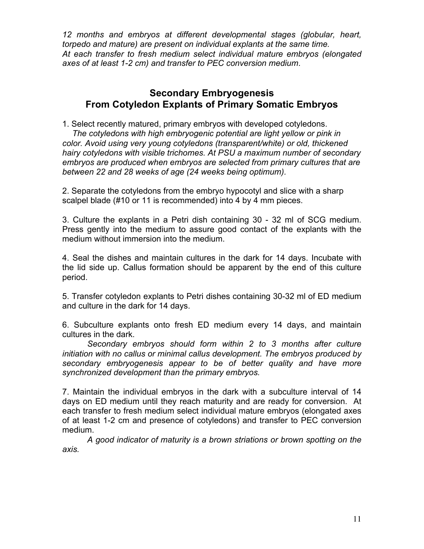*12 months and embryos at different developmental stages (globular, heart, torpedo and mature) are present on individual explants at the same time. At each transfer to fresh medium select individual mature embryos (elongated axes of at least 1-2 cm) and transfer to PEC conversion medium*.

## **Secondary Embryogenesis From Cotyledon Explants of Primary Somatic Embryos**

1. Select recently matured, primary embryos with developed cotyledons. *The cotyledons with high embryogenic potential are light yellow or pink in color. Avoid using very young cotyledons (transparent/white) or old, thickened hairy cotyledons with visible trichomes. At PSU a maximum number of secondary embryos are produced when embryos are selected from primary cultures that are between 22 and 28 weeks of age (24 weeks being optimum).*

2. Separate the cotyledons from the embryo hypocotyl and slice with a sharp scalpel blade (#10 or 11 is recommended) into 4 by 4 mm pieces.

3. Culture the explants in a Petri dish containing 30 - 32 ml of SCG medium. Press gently into the medium to assure good contact of the explants with the medium without immersion into the medium.

4. Seal the dishes and maintain cultures in the dark for 14 days. Incubate with the lid side up. Callus formation should be apparent by the end of this culture period.

5. Transfer cotyledon explants to Petri dishes containing 30-32 ml of ED medium and culture in the dark for 14 days.

6. Subculture explants onto fresh ED medium every 14 days, and maintain cultures in the dark.

*Secondary embryos should form within 2 to 3 months after culture initiation with no callus or minimal callus development. The embryos produced by secondary embryogenesis appear to be of better quality and have more synchronized development than the primary embryos.*

7. Maintain the individual embryos in the dark with a subculture interval of 14 days on ED medium until they reach maturity and are ready for conversion. At each transfer to fresh medium select individual mature embryos (elongated axes of at least 1-2 cm and presence of cotyledons) and transfer to PEC conversion medium.

*A good indicator of maturity is a brown striations or brown spotting on the axis.*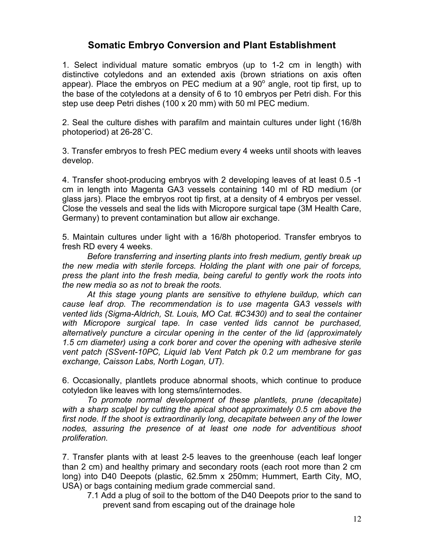## **Somatic Embryo Conversion and Plant Establishment**

1. Select individual mature somatic embryos (up to 1-2 cm in length) with distinctive cotyledons and an extended axis (brown striations on axis often appear). Place the embryos on PEC medium at a 90 $^{\circ}$  angle, root tip first, up to the base of the cotyledons at a density of 6 to 10 embryos per Petri dish. For this step use deep Petri dishes (100 x 20 mm) with 50 ml PEC medium.

2. Seal the culture dishes with parafilm and maintain cultures under light (16/8h photoperiod) at 26-28˚C.

3. Transfer embryos to fresh PEC medium every 4 weeks until shoots with leaves develop.

4. Transfer shoot-producing embryos with 2 developing leaves of at least 0.5 -1 cm in length into Magenta GA3 vessels containing 140 ml of RD medium (or glass jars). Place the embryos root tip first, at a density of 4 embryos per vessel. Close the vessels and seal the lids with Micropore surgical tape (3M Health Care, Germany) to prevent contamination but allow air exchange.

5. Maintain cultures under light with a 16/8h photoperiod. Transfer embryos to fresh RD every 4 weeks.

*Before transferring and inserting plants into fresh medium, gently break up the new media with sterile forceps. Holding the plant with one pair of forceps, press the plant into the fresh media, being careful to gently work the roots into the new media so as not to break the roots.*

*At this stage young plants are sensitive to ethylene buildup, which can cause leaf drop. The recommendation is to use magenta GA3 vessels with vented lids (Sigma-Aldrich, St. Louis, MO Cat. #C3430) and to seal the container with Micropore surgical tape. In case vented lids cannot be purchased, alternatively puncture a circular opening in the center of the lid (approximately 1.5 cm diameter) using a cork borer and cover the opening with adhesive sterile vent patch (SSvent-10PC, Liquid lab Vent Patch pk 0.2 um membrane for gas exchange, Caisson Labs, North Logan, UT).*

6. Occasionally, plantlets produce abnormal shoots, which continue to produce cotyledon like leaves with long stems/internodes.

*To promote normal development of these plantlets, prune (decapitate) with a sharp scalpel by cutting the apical shoot approximately 0.5 cm above the first node. If the shoot is extraordinarily long, decapitate between any of the lower nodes, assuring the presence of at least one node for adventitious shoot proliferation.*

7. Transfer plants with at least 2-5 leaves to the greenhouse (each leaf longer than 2 cm) and healthy primary and secondary roots (each root more than 2 cm long) into D40 Deepots (plastic, 62.5mm x 250mm; Hummert, Earth City, MO, USA) or bags containing medium grade commercial sand.

7.1 Add a plug of soil to the bottom of the D40 Deepots prior to the sand to prevent sand from escaping out of the drainage hole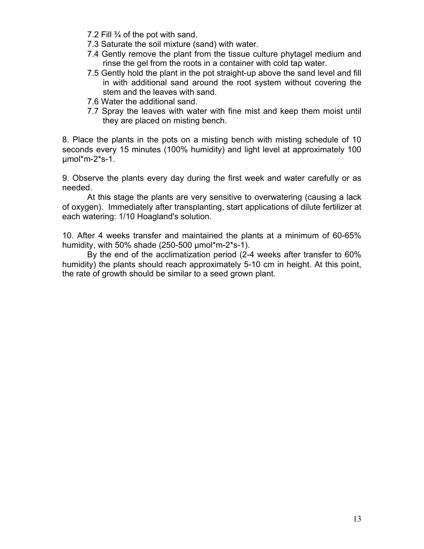- 7.2 Fill ¾ of the pot with sand.
- 7.3 Saturate the soil mixture (sand) with water.
- 7.4 Gently remove the plant from the tissue culture phytagel medium and rinse the gel from the roots in a container with cold tap water.
- 7.5 Gently hold the plant in the pot straight-up above the sand level and fill in with additional sand around the root system without covering the stem and the leaves with sand.
- 7.6 Water the additional sand.
- 7.7 Spray the leaves with water with fine mist and keep them moist until they are placed on misting bench.

8. Place the plants in the pots on a misting bench with misting schedule of 10 seconds every 15 minutes (100% humidity) and light level at approximately 100 µmol\*m-2\*s-1.

9. Observe the plants every day during the first week and water carefully or as needed.

At this stage the plants are very sensitive to overwatering (causing a lack of oxygen). Immediately after transplanting, start applications of dilute fertilizer at each watering: 1/10 Hoagland's solution.

10. After 4 weeks transfer and maintained the plants at a minimum of 60-65% humidity, with 50% shade  $(250-500 \mu m^2m-2^*s-1)$ .

By the end of the acclimatization period (2-4 weeks after transfer to 60% humidity) the plants should reach approximately 5-10 cm in height. At this point, the rate of growth should be similar to a seed grown plant.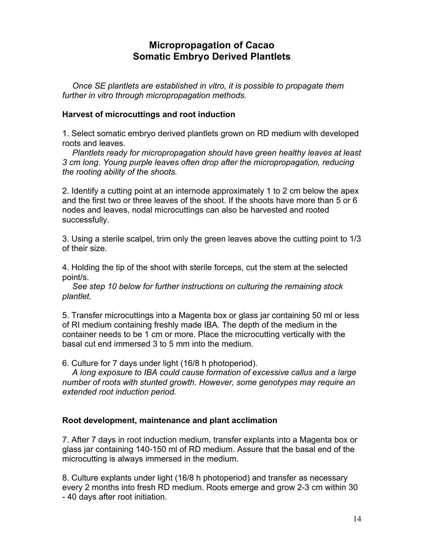## **Micropropagation of Cacao Somatic Embryo Derived Plantlets**

*Once SE plantlets are established in vitro, it is possible to propagate them further in vitro through micropropagation methods.*

#### **Harvest of microcuttings and root induction**

1. Select somatic embryo derived plantlets grown on RD medium with developed roots and leaves.

*Plantlets ready for micropropagation should have green healthy leaves at least 3 cm long. Young purple leaves often drop after the micropropagation, reducing the rooting ability of the shoots.*

2. Identify a cutting point at an internode approximately 1 to 2 cm below the apex and the first two or three leaves of the shoot. If the shoots have more than 5 or 6 nodes and leaves, nodal microcuttings can also be harvested and rooted successfully.

3. Using a sterile scalpel, trim only the green leaves above the cutting point to 1/3 of their size.

4. Holding the tip of the shoot with sterile forceps, cut the stem at the selected point/s.

*See step 10 below for further instructions on culturing the remaining stock plantlet.*

5. Transfer microcuttings into a Magenta box or glass jar containing 50 ml or less of RI medium containing freshly made IBA. The depth of the medium in the container needs to be 1 cm or more. Place the microcutting vertically with the basal cut end immersed 3 to 5 mm into the medium.

6. Culture for 7 days under light (16/8 h photoperiod).

*A long exposure to IBA could cause formation of excessive callus and a large number of roots with stunted growth. However, some genotypes may require an extended root induction period.*

#### **Root development, maintenance and plant acclimation**

7. After 7 days in root induction medium, transfer explants into a Magenta box or glass jar containing 140-150 ml of RD medium. Assure that the basal end of the microcutting is always immersed in the medium.

8. Culture explants under light (16/8 h photoperiod) and transfer as necessary every 2 months into fresh RD medium. Roots emerge and grow 2-3 cm within 30 - 40 days after root initiation.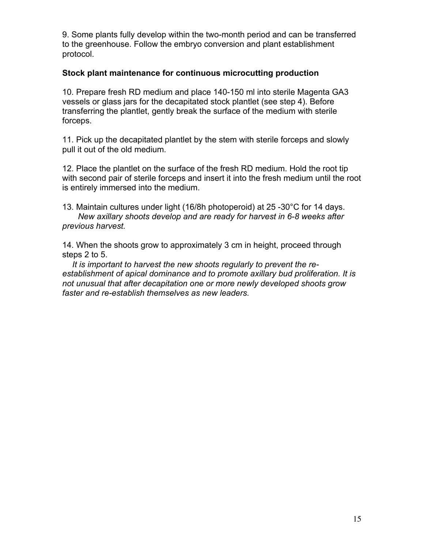9. Some plants fully develop within the two-month period and can be transferred to the greenhouse. Follow the embryo conversion and plant establishment protocol.

#### **Stock plant maintenance for continuous microcutting production**

10. Prepare fresh RD medium and place 140-150 ml into sterile Magenta GA3 vessels or glass jars for the decapitated stock plantlet (see step 4). Before transferring the plantlet, gently break the surface of the medium with sterile forceps.

11. Pick up the decapitated plantlet by the stem with sterile forceps and slowly pull it out of the old medium.

12. Place the plantlet on the surface of the fresh RD medium. Hold the root tip with second pair of sterile forceps and insert it into the fresh medium until the root is entirely immersed into the medium.

13. Maintain cultures under light (16/8h photoperoid) at 25 -30°C for 14 days. *New axillary shoots develop and are ready for harvest in 6-8 weeks after previous harvest.*

14. When the shoots grow to approximately 3 cm in height, proceed through steps 2 to 5.

*It is important to harvest the new shoots regularly to prevent the reestablishment of apical dominance and to promote axillary bud proliferation. It is not unusual that after decapitation one or more newly developed shoots grow faster and re-establish themselves as new leaders.*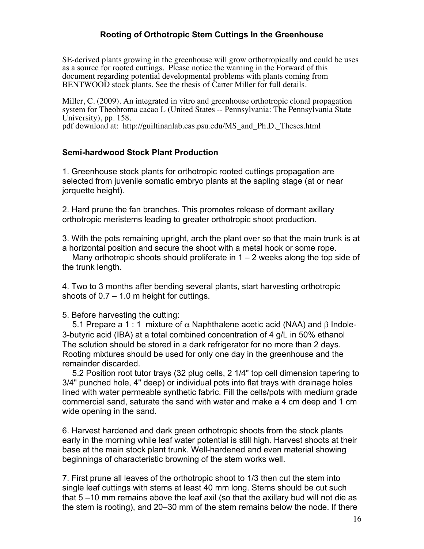#### **Rooting of Orthotropic Stem Cuttings In the Greenhouse**

SE-derived plants growing in the greenhouse will grow orthotropically and could be uses as a source for rooted cuttings. Please notice the warning in the Forward of this document regarding potential developmental problems with plants coming from BENTWOOD stock plants. See the thesis of Carter Miller for full details.

Miller, C. (2009). An integrated in vitro and greenhouse orthotropic clonal propagation system for Theobroma cacao L (United States -- Pennsylvania: The Pennsylvania State University), pp. 158.

pdf download at: http://guiltinanlab.cas.psu.edu/MS\_and\_Ph.D.\_Theses.html

#### **Semi-hardwood Stock Plant Production**

1. Greenhouse stock plants for orthotropic rooted cuttings propagation are selected from juvenile somatic embryo plants at the sapling stage (at or near jorquette height).

2. Hard prune the fan branches. This promotes release of dormant axillary orthotropic meristems leading to greater orthotropic shoot production.

3. With the pots remaining upright, arch the plant over so that the main trunk is at a horizontal position and secure the shoot with a metal hook or some rope.

Many orthotropic shoots should proliferate in  $1 - 2$  weeks along the top side of the trunk length.

4. Two to 3 months after bending several plants, start harvesting orthotropic shoots of  $0.7 - 1.0$  m height for cuttings.

5. Before harvesting the cutting:

5.1 Prepare a 1 : 1 mixture of  $\alpha$  Naphthalene acetic acid (NAA) and  $\beta$  Indole-3-butyric acid (IBA) at a total combined concentration of 4 g/L in 50% ethanol The solution should be stored in a dark refrigerator for no more than 2 days. Rooting mixtures should be used for only one day in the greenhouse and the remainder discarded.

5.2 Position root tutor trays (32 plug cells, 2 1/4" top cell dimension tapering to 3/4" punched hole, 4" deep) or individual pots into flat trays with drainage holes lined with water permeable synthetic fabric. Fill the cells/pots with medium grade commercial sand, saturate the sand with water and make a 4 cm deep and 1 cm wide opening in the sand.

6. Harvest hardened and dark green orthotropic shoots from the stock plants early in the morning while leaf water potential is still high. Harvest shoots at their base at the main stock plant trunk. Well-hardened and even material showing beginnings of characteristic browning of the stem works well.

7. First prune all leaves of the orthotropic shoot to 1/3 then cut the stem into single leaf cuttings with stems at least 40 mm long. Stems should be cut such that 5 –10 mm remains above the leaf axil (so that the axillary bud will not die as the stem is rooting), and 20–30 mm of the stem remains below the node. If there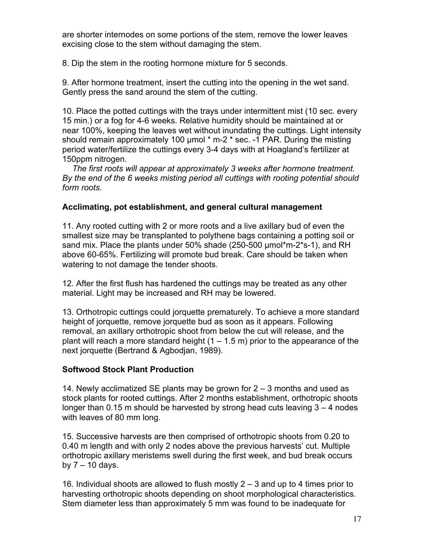are shorter internodes on some portions of the stem, remove the lower leaves excising close to the stem without damaging the stem.

8. Dip the stem in the rooting hormone mixture for 5 seconds.

9. After hormone treatment, insert the cutting into the opening in the wet sand. Gently press the sand around the stem of the cutting.

10. Place the potted cuttings with the trays under intermittent mist (10 sec. every 15 min.) or a fog for 4-6 weeks. Relative humidity should be maintained at or near 100%, keeping the leaves wet without inundating the cuttings. Light intensity should remain approximately 100 µmol \* m-2 \* sec. -1 PAR. During the misting period water/fertilize the cuttings every 3-4 days with at Hoagland's fertilizer at 150ppm nitrogen.

*The first roots will appear at approximately 3 weeks after hormone treatment. By the end of the 6 weeks misting period all cuttings with rooting potential should form roots.*

#### **Acclimating, pot establishment, and general cultural management**

11. Any rooted cutting with 2 or more roots and a live axillary bud of even the smallest size may be transplanted to polythene bags containing a potting soil or sand mix. Place the plants under 50% shade (250-500 µmol\*m-2\*s-1), and RH above 60-65%. Fertilizing will promote bud break. Care should be taken when watering to not damage the tender shoots.

12. After the first flush has hardened the cuttings may be treated as any other material. Light may be increased and RH may be lowered.

13. Orthotropic cuttings could jorquette prematurely. To achieve a more standard height of jorquette, remove jorquette bud as soon as it appears. Following removal, an axillary orthotropic shoot from below the cut will release, and the plant will reach a more standard height  $(1 - 1.5 \text{ m})$  prior to the appearance of the next jorquette (Bertrand & Agbodjan, 1989).

#### **Softwood Stock Plant Production**

14. Newly acclimatized SE plants may be grown for 2 – 3 months and used as stock plants for rooted cuttings. After 2 months establishment, orthotropic shoots longer than 0.15 m should be harvested by strong head cuts leaving 3 – 4 nodes with leaves of 80 mm long.

15. Successive harvests are then comprised of orthotropic shoots from 0.20 to 0.40 m length and with only 2 nodes above the previous harvests' cut. Multiple orthotropic axillary meristems swell during the first week, and bud break occurs by  $7 - 10$  days.

16. Individual shoots are allowed to flush mostly 2 – 3 and up to 4 times prior to harvesting orthotropic shoots depending on shoot morphological characteristics. Stem diameter less than approximately 5 mm was found to be inadequate for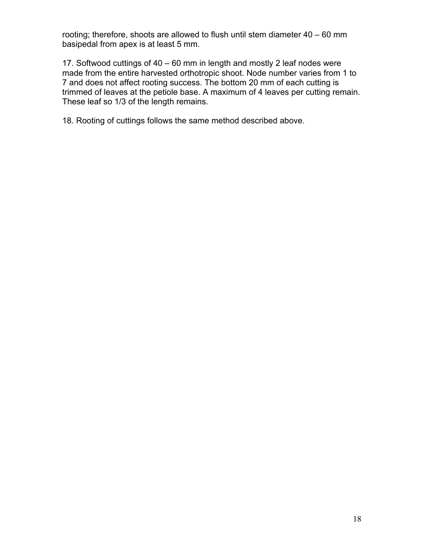rooting; therefore, shoots are allowed to flush until stem diameter 40 – 60 mm basipedal from apex is at least 5 mm.

17. Softwood cuttings of 40 – 60 mm in length and mostly 2 leaf nodes were made from the entire harvested orthotropic shoot. Node number varies from 1 to 7 and does not affect rooting success. The bottom 20 mm of each cutting is trimmed of leaves at the petiole base. A maximum of 4 leaves per cutting remain. These leaf so 1/3 of the length remains.

18. Rooting of cuttings follows the same method described above.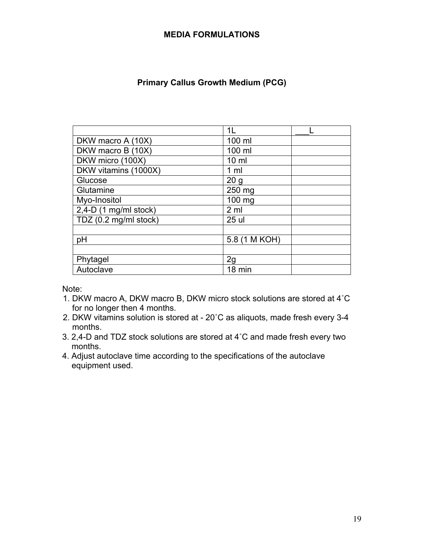#### **MEDIA FORMULATIONS**

### **Primary Callus Growth Medium (PCG)**

|                         | 1L              |
|-------------------------|-----------------|
| DKW macro A (10X)       | 100 ml          |
| DKW macro B (10X)       | 100 ml          |
| DKW micro (100X)        | $10 \mathrm{m}$ |
| DKW vitamins (1000X)    | 1 <sub>m</sub>  |
| Glucose                 | 20 <sub>g</sub> |
| Glutamine               | 250 mg          |
| Myo-Inositol            | 100 mg          |
| $2,4-D$ (1 mg/ml stock) | 2 <sub>m</sub>  |
| TDZ (0.2 mg/ml stock)   | 25 ul           |
|                         |                 |
| рH                      | 5.8 (1 M KOH)   |
|                         |                 |
| Phytagel                | 2g              |
| Autoclave               | 18 min          |

- 1. DKW macro A, DKW macro B, DKW micro stock solutions are stored at 4˚C for no longer then 4 months.
- 2. DKW vitamins solution is stored at 20˚C as aliquots, made fresh every 3-4 months.
- 3. 2,4-D and TDZ stock solutions are stored at 4˚C and made fresh every two months.
- 4. Adjust autoclave time according to the specifications of the autoclave equipment used.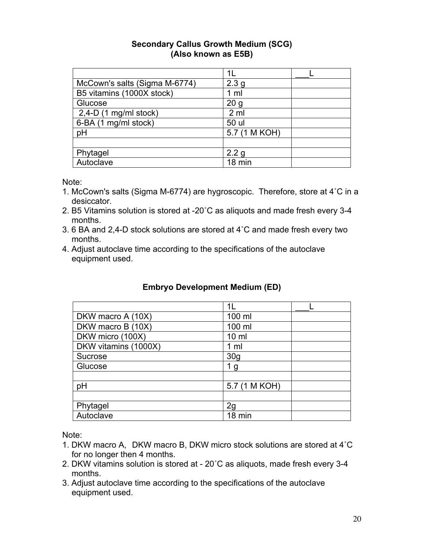#### **Secondary Callus Growth Medium (SCG) (Also known as E5B)**

| McCown's salts (Sigma M-6774) | 2.3 <sub>g</sub> |  |
|-------------------------------|------------------|--|
| B5 vitamins (1000X stock)     | $1 \text{ ml}$   |  |
| Glucose                       | 20 <sub>g</sub>  |  |
| $2,4-D$ (1 mg/ml stock)       | 2 ml             |  |
| 6-BA (1 mg/ml stock)          | 50 ul            |  |
| pH                            | 5.7 (1 M KOH)    |  |
|                               |                  |  |
| Phytagel                      | 2.2 <sub>q</sub> |  |
| Autoclave                     | 18 min           |  |

Note:

- 1. McCown's salts (Sigma M-6774) are hygroscopic. Therefore, store at 4˚C in a desiccator.
- 2. B5 Vitamins solution is stored at -20˚C as aliquots and made fresh every 3-4 months.
- 3. 6 BA and 2,4-D stock solutions are stored at 4˚C and made fresh every two months.
- 4. Adjust autoclave time according to the specifications of the autoclave equipment used.

## **Embryo Development Medium (ED)**

|                      | 1L              |
|----------------------|-----------------|
| DKW macro A (10X)    | 100 ml          |
| DKW macro B (10X)    | 100 ml          |
| DKW micro (100X)     | $10 \mathrm{m}$ |
| DKW vitamins (1000X) | 1 <sub>m</sub>  |
| Sucrose              | 30 <sub>g</sub> |
| Glucose              | 1 g             |
|                      |                 |
| pH                   | 5.7 (1 M KOH)   |
|                      |                 |
| Phytagel             | 2g              |
| Autoclave            | 18 min          |

- 1. DKW macro A, DKW macro B, DKW micro stock solutions are stored at 4˚C for no longer then 4 months.
- 2. DKW vitamins solution is stored at 20˚C as aliquots, made fresh every 3-4 months.
- 3. Adjust autoclave time according to the specifications of the autoclave equipment used.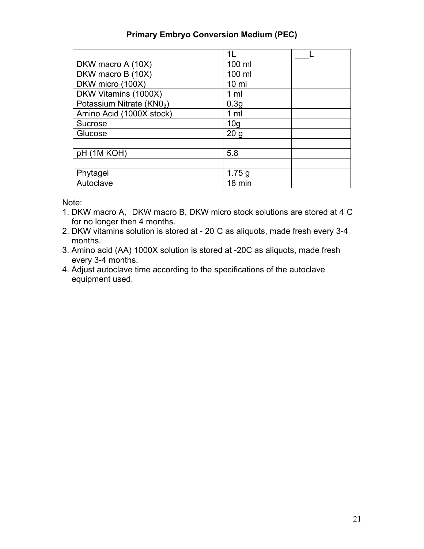### **Primary Embryo Conversion Medium (PEC)**

|                                       | 11              |
|---------------------------------------|-----------------|
| DKW macro A (10X)                     | 100 ml          |
| DKW macro B (10X)                     | 100 ml          |
| DKW micro (100X)                      | $10 \mathrm{m}$ |
| DKW Vitamins (1000X)                  | 1 <sub>m</sub>  |
| Potassium Nitrate (KN0 <sub>3</sub> ) | 0.3g            |
| Amino Acid (1000X stock)              | 1 <sub>m</sub>  |
| Sucrose                               | 10 <sub>g</sub> |
| Glucose                               | 20 <sub>g</sub> |
|                                       |                 |
| pH (1M KOH)                           | 5.8             |
|                                       |                 |
| Phytagel                              | 1.75 g          |
| Autoclave                             | 18 min          |

- 1. DKW macro A, DKW macro B, DKW micro stock solutions are stored at 4˚C for no longer then 4 months.
- 2. DKW vitamins solution is stored at 20˚C as aliquots, made fresh every 3-4 months.
- 3. Amino acid (AA) 1000X solution is stored at -20C as aliquots, made fresh every 3-4 months.
- 4. Adjust autoclave time according to the specifications of the autoclave equipment used.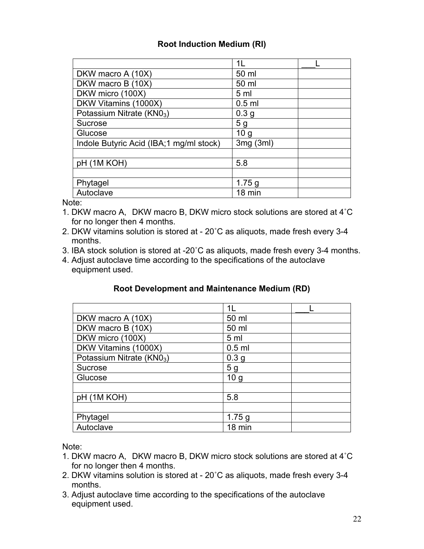## **Root Induction Medium (RI)**

|                                          | 11               |  |
|------------------------------------------|------------------|--|
| DKW macro A (10X)                        | 50 ml            |  |
| DKW macro B (10X)                        | 50 ml            |  |
| DKW micro (100X)                         | 5 <sub>m</sub>   |  |
| DKW Vitamins (1000X)                     | $0.5$ ml         |  |
| Potassium Nitrate (KN0 <sub>3</sub> )    | 0.3 <sub>g</sub> |  |
| Sucrose                                  | 5 g              |  |
| Glucose                                  | 10 <sub>g</sub>  |  |
| Indole Butyric Acid (IBA; 1 mg/ml stock) | 3mg(3ml)         |  |
|                                          |                  |  |
| pH (1M KOH)                              | 5.8              |  |
|                                          |                  |  |
| Phytagel                                 | 1.75g            |  |
| Autoclave                                | 18 min           |  |

Note:

- 1. DKW macro A, DKW macro B, DKW micro stock solutions are stored at 4˚C for no longer then 4 months.
- 2. DKW vitamins solution is stored at 20˚C as aliquots, made fresh every 3-4 months.
- 3. IBA stock solution is stored at -20˚C as aliquots, made fresh every 3-4 months.
- 4. Adjust autoclave time according to the specifications of the autoclave equipment used.

#### **Root Development and Maintenance Medium (RD)**

|                                       | 11               |
|---------------------------------------|------------------|
| DKW macro A (10X)                     | 50 ml            |
| DKW macro B (10X)                     | 50 ml            |
| DKW micro (100X)                      | 5 <sub>m</sub>   |
| DKW Vitamins (1000X)                  | $0.5$ ml         |
| Potassium Nitrate (KN0 <sub>3</sub> ) | 0.3 <sub>g</sub> |
| Sucrose                               | 5 <sub>g</sub>   |
| Glucose                               | 10 <sub>g</sub>  |
|                                       |                  |
| pH (1M KOH)                           | 5.8              |
|                                       |                  |
| Phytagel                              | 1.75 g           |
| Autoclave                             | 18 min           |

- 1. DKW macro A, DKW macro B, DKW micro stock solutions are stored at 4˚C for no longer then 4 months.
- 2. DKW vitamins solution is stored at 20˚C as aliquots, made fresh every 3-4 months.
- 3. Adjust autoclave time according to the specifications of the autoclave equipment used.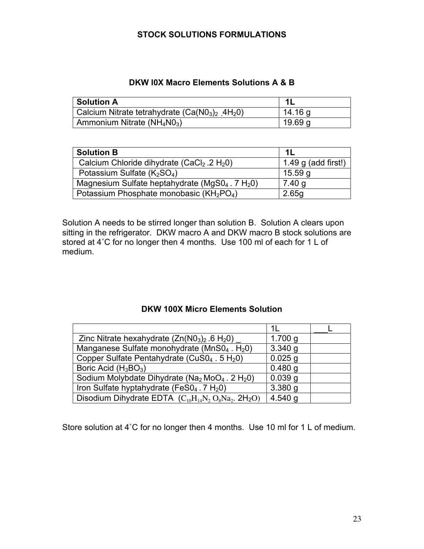#### **STOCK SOLUTIONS FORMULATIONS**

## **DKW l0X Macro Elements Solutions A & B**

| <b>Solution A</b>                                           |                    |
|-------------------------------------------------------------|--------------------|
| Calcium Nitrate tetrahydrate $(Ca(N03)2$ 4H <sub>2</sub> 0) | 14.16 g            |
| Ammonium Nitrate (NH <sub>4</sub> N0 <sub>3</sub> )         | 19.69 <sub>q</sub> |

| <b>Solution B</b>                                                | - 1 I               |
|------------------------------------------------------------------|---------------------|
| Calcium Chloride dihydrate $(CaCl2 .2 H2O)$                      | 1.49 g (add first!) |
| Potassium Sulfate $(K_2SO_4)$                                    | 15.59 g             |
| Magnesium Sulfate heptahydrate (MgS0 $_4$ . 7 H <sub>2</sub> 0)  | 7.40 g              |
| Potassium Phosphate monobasic (KH <sub>2</sub> PO <sub>4</sub> ) | 2.65g               |

Solution A needs to be stirred longer than solution B. Solution A clears upon sitting in the refrigerator. DKW macro A and DKW macro B stock solutions are stored at 4˚C for no longer then 4 months. Use 100 ml of each for 1 L of medium.

#### **DKW 100X Micro Elements Solution**

|                                                                                    | 11        |  |
|------------------------------------------------------------------------------------|-----------|--|
| Zinc Nitrate hexahydrate $(Zn(N03)2$ .6 H <sub>2</sub> 0)                          | 1.700 g   |  |
| Manganese Sulfate monohydrate (MnS04. H <sub>2</sub> 0)                            | 3.340 g   |  |
| Copper Sulfate Pentahydrate (CuS0 <sub>4</sub> . 5 H <sub>2</sub> 0)               | $0.025$ g |  |
| Boric Acid $(H_3BO_3)$                                                             | $0.480$ g |  |
| Sodium Molybdate Dihydrate (Na <sub>2</sub> MoO <sub>4</sub> . 2 H <sub>2</sub> 0) | 0.039q    |  |
| Iron Sulfate hyptahydrate (FeS0 $_4$ . 7 H <sub>2</sub> 0)                         | 3.380 g   |  |
| Disodium Dihydrate EDTA $(C_{10}H_{14}N_2O_8Na_2$ . 2H <sub>2</sub> O)             | $4.540$ g |  |

Store solution at 4˚C for no longer then 4 months. Use 10 ml for 1 L of medium.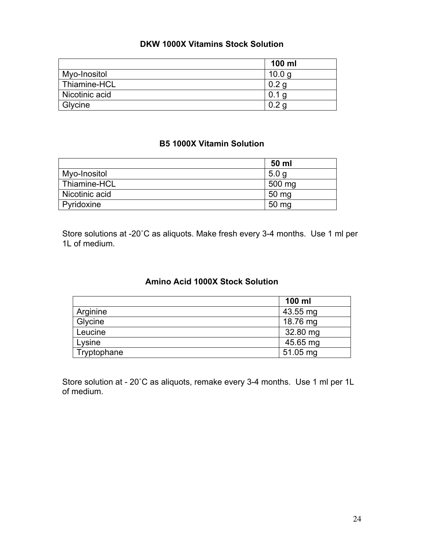## **DKW 1000X Vitamins Stock Solution**

|                | 100 ml            |
|----------------|-------------------|
| Myo-Inositol   | 10.0 <sub>q</sub> |
| Thiamine-HCL   | 0.2 <sub>q</sub>  |
| Nicotinic acid |                   |
| Glycine        | 0.2               |

#### **B5 1000X Vitamin Solution**

|                | 50 ml            |
|----------------|------------------|
| Myo-Inositol   | 5.0 <sub>q</sub> |
| Thiamine-HCL   | 500 mg           |
| Nicotinic acid | 50 mg            |
| Pyridoxine     | 50 mg            |

Store solutions at -20˚C as aliquots. Make fresh every 3-4 months. Use 1 ml per 1L of medium.

## **Amino Acid 1000X Stock Solution**

|             | 100 ml   |
|-------------|----------|
| Arginine    | 43.55 mg |
| Glycine     | 18.76 mg |
| Leucine     | 32.80 mg |
| Lysine      | 45.65 mg |
| Tryptophane | 51.05 mg |

Store solution at - 20˚C as aliquots, remake every 3-4 months. Use 1 ml per 1L of medium.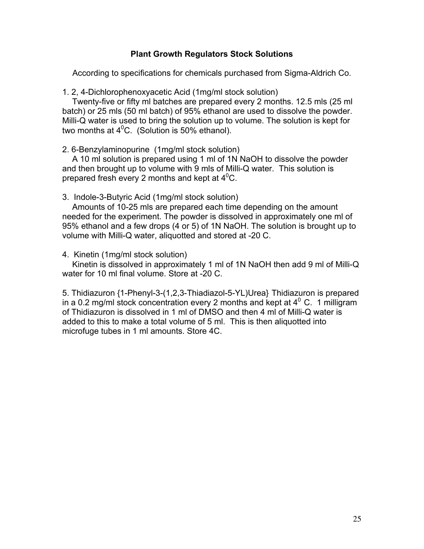#### **Plant Growth Regulators Stock Solutions**

According to specifications for chemicals purchased from Sigma-Aldrich Co.

1. 2, 4-Dichlorophenoxyacetic Acid (1mg/ml stock solution)

Twenty-five or fifty ml batches are prepared every 2 months. 12.5 mls (25 ml batch) or 25 mls (50 ml batch) of 95% ethanol are used to dissolve the powder. Milli-Q water is used to bring the solution up to volume. The solution is kept for two months at  $4^{\circ}$ C. (Solution is 50% ethanol).

2. 6-Benzylaminopurine (1mg/ml stock solution)

A 10 ml solution is prepared using 1 ml of 1N NaOH to dissolve the powder and then brought up to volume with 9 mls of Milli-Q water. This solution is prepared fresh every 2 months and kept at  $4^0C$ .

3. Indole-3-Butyric Acid (1mg/ml stock solution)

Amounts of 10-25 mls are prepared each time depending on the amount needed for the experiment. The powder is dissolved in approximately one ml of 95% ethanol and a few drops (4 or 5) of 1N NaOH. The solution is brought up to volume with Milli-Q water, aliquotted and stored at -20 C.

4. Kinetin (1mg/ml stock solution)

Kinetin is dissolved in approximately 1 ml of 1N NaOH then add 9 ml of Milli-Q water for 10 ml final volume. Store at -20 C.

5. Thidiazuron {1-Phenyl-3-(1,2,3-Thiadiazol-5-YL)Urea} Thidiazuron is prepared in a 0.2 mg/ml stock concentration every 2 months and kept at  $4^{\circ}$  C. 1 milligram of Thidiazuron is dissolved in 1 ml of DMSO and then 4 ml of Milli-Q water is added to this to make a total volume of 5 ml. This is then aliquotted into microfuge tubes in 1 ml amounts. Store 4C.